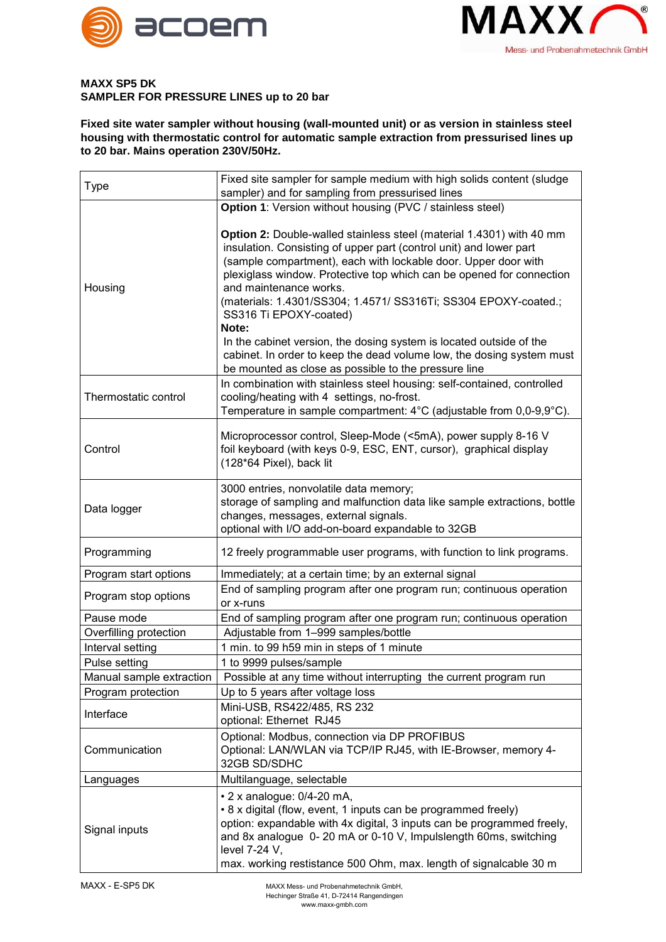



## **MAXX SP5 DK SAMPLER FOR PRESSURE LINES up to 20 bar**

**Fixed site water sampler without housing (wall-mounted unit) or as version in stainless steel housing with thermostatic control for automatic sample extraction from pressurised lines up to 20 bar. Mains operation 230V/50Hz.**

| Type                     | Fixed site sampler for sample medium with high solids content (sludge<br>sampler) and for sampling from pressurised lines                                                                                                                                                                                                                                                                                                                                                                   |
|--------------------------|---------------------------------------------------------------------------------------------------------------------------------------------------------------------------------------------------------------------------------------------------------------------------------------------------------------------------------------------------------------------------------------------------------------------------------------------------------------------------------------------|
|                          | Option 1: Version without housing (PVC / stainless steel)                                                                                                                                                                                                                                                                                                                                                                                                                                   |
| Housing                  | Option 2: Double-walled stainless steel (material 1.4301) with 40 mm<br>insulation. Consisting of upper part (control unit) and lower part<br>(sample compartment), each with lockable door. Upper door with<br>plexiglass window. Protective top which can be opened for connection<br>and maintenance works.<br>(materials: 1.4301/SS304; 1.4571/ SS316Ti; SS304 EPOXY-coated.;<br>SS316 Ti EPOXY-coated)<br>Note:<br>In the cabinet version, the dosing system is located outside of the |
|                          | cabinet. In order to keep the dead volume low, the dosing system must<br>be mounted as close as possible to the pressure line                                                                                                                                                                                                                                                                                                                                                               |
| Thermostatic control     | In combination with stainless steel housing: self-contained, controlled<br>cooling/heating with 4 settings, no-frost.<br>Temperature in sample compartment: 4°C (adjustable from 0,0-9,9°C).                                                                                                                                                                                                                                                                                                |
| Control                  | Microprocessor control, Sleep-Mode (<5mA), power supply 8-16 V<br>foil keyboard (with keys 0-9, ESC, ENT, cursor), graphical display<br>(128*64 Pixel), back lit                                                                                                                                                                                                                                                                                                                            |
| Data logger              | 3000 entries, nonvolatile data memory;<br>storage of sampling and malfunction data like sample extractions, bottle<br>changes, messages, external signals.<br>optional with I/O add-on-board expandable to 32GB                                                                                                                                                                                                                                                                             |
| Programming              | 12 freely programmable user programs, with function to link programs.                                                                                                                                                                                                                                                                                                                                                                                                                       |
| Program start options    | Immediately; at a certain time; by an external signal                                                                                                                                                                                                                                                                                                                                                                                                                                       |
| Program stop options     | End of sampling program after one program run; continuous operation<br>or x-runs                                                                                                                                                                                                                                                                                                                                                                                                            |
| Pause mode               | End of sampling program after one program run; continuous operation                                                                                                                                                                                                                                                                                                                                                                                                                         |
| Overfilling protection   | Adjustable from 1-999 samples/bottle                                                                                                                                                                                                                                                                                                                                                                                                                                                        |
| Interval setting         | 1 min. to 99 h59 min in steps of 1 minute                                                                                                                                                                                                                                                                                                                                                                                                                                                   |
| Pulse setting            | 1 to 9999 pulses/sample                                                                                                                                                                                                                                                                                                                                                                                                                                                                     |
| Manual sample extraction | Possible at any time without interrupting the current program run                                                                                                                                                                                                                                                                                                                                                                                                                           |
| Program protection       | Up to 5 years after voltage loss                                                                                                                                                                                                                                                                                                                                                                                                                                                            |
| Interface                | Mini-USB, RS422/485, RS 232<br>optional: Ethernet RJ45                                                                                                                                                                                                                                                                                                                                                                                                                                      |
| Communication            | Optional: Modbus, connection via DP PROFIBUS<br>Optional: LAN/WLAN via TCP/IP RJ45, with IE-Browser, memory 4-<br>32GB SD/SDHC                                                                                                                                                                                                                                                                                                                                                              |
| Languages                | Multilanguage, selectable                                                                                                                                                                                                                                                                                                                                                                                                                                                                   |
| Signal inputs            | • 2 x analogue: 0/4-20 mA,<br>• 8 x digital (flow, event, 1 inputs can be programmed freely)<br>option: expandable with 4x digital, 3 inputs can be programmed freely,<br>and 8x analogue 0-20 mA or 0-10 V, Impulslength 60ms, switching<br>level 7-24 V,<br>max. working restistance 500 Ohm, max. length of signalcable 30 m                                                                                                                                                             |